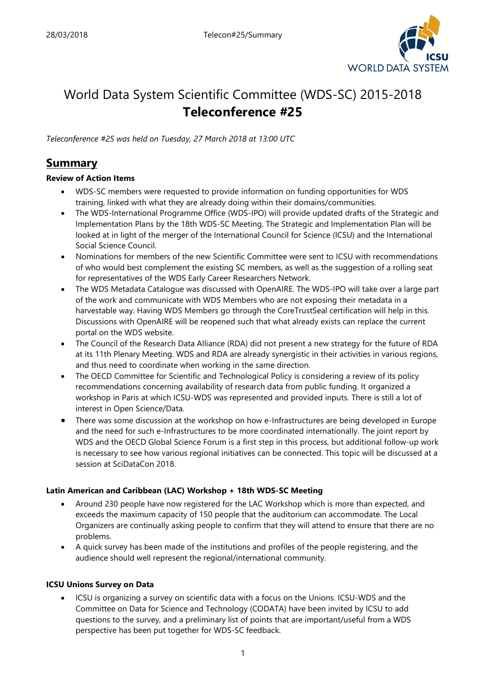

# World Data System Scientific Committee (WDS-SC) 2015-2018 **Teleconference #25**

*Teleconference #25 was held on Tuesday, 27 March 2018 at 13:00 UTC*

# **Summary**

## **Review of Action Items**

- WDS-SC members were requested to provide information on funding opportunities for WDS training, linked with what they are already doing within their domains/communities.
- The WDS-International Programme Office (WDS-IPO) will provide updated drafts of the Strategic and Implementation Plans by the 18th WDS-SC Meeting. The Strategic and Implementation Plan will be looked at in light of the merger of the International Council for Science (ICSU) and the International Social Science Council.
- Nominations for members of the new Scientific Committee were sent to ICSU with recommendations of who would best complement the existing SC members, as well as the suggestion of a rolling seat for representatives of the WDS Early Career Researchers Network.
- The WDS Metadata Catalogue was discussed with OpenAIRE. The WDS-IPO will take over a large part of the work and communicate with WDS Members who are not exposing their metadata in a harvestable way. Having WDS Members go through the CoreTrustSeal certification will help in this. Discussions with OpenAIRE will be reopened such that what already exists can replace the current portal on the WDS website.
- The Council of the Research Data Alliance (RDA) did not present a new strategy for the future of RDA at its 11th Plenary Meeting. WDS and RDA are already synergistic in their activities in various regions, and thus need to coordinate when working in the same direction.
- The OECD Committee for Scientific and Technological Policy is considering a review of its policy recommendations concerning availability of research data from public funding. It organized a workshop in Paris at which ICSU-WDS was represented and provided inputs. There is still a lot of interest in Open Science/Data.
- There was some discussion at the workshop on how e-Infrastructures are being developed in Europe and the need for such e-Infrastructures to be more coordinated internationally. The joint report by WDS and the OECD Global Science Forum is a first step in this process, but additional follow-up work is necessary to see how various regional initiatives can be connected. This topic will be discussed at a session at SciDataCon 2018.

## **Latin American and Caribbean (LAC) Workshop + 18th WDS-SC Meeting**

- Around 230 people have now registered for the LAC Workshop which is more than expected, and exceeds the maximum capacity of 150 people that the auditorium can accommodate. The Local Organizers are continually asking people to confirm that they will attend to ensure that there are no problems.
- A quick survey has been made of the institutions and profiles of the people registering, and the audience should well represent the regional/international community.

## **ICSU Unions Survey on Data**

• ICSU is organizing a survey on scientific data with a focus on the Unions. ICSU-WDS and the Committee on Data for Science and Technology (CODATA) have been invited by ICSU to add questions to the survey, and a preliminary list of points that are important/useful from a WDS perspective has been put together for WDS-SC feedback.